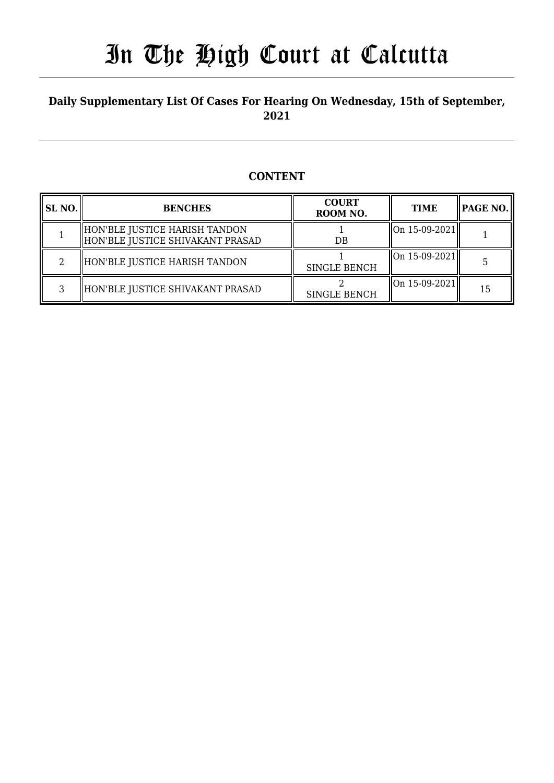## **Daily Supplementary List Of Cases For Hearing On Wednesday, 15th of September, 2021**

### **CONTENT**

| <b>SL NO.</b> | <b>BENCHES</b>                                                    | <b>COURT</b><br>ROOM NO. | <b>TIME</b>   | $ $ PAGE NO. $\ $ |
|---------------|-------------------------------------------------------------------|--------------------------|---------------|-------------------|
|               | HON'BLE JUSTICE HARISH TANDON<br>HON'BLE JUSTICE SHIVAKANT PRASAD | DB                       | On 15-09-2021 |                   |
|               | HON'BLE JUSTICE HARISH TANDON                                     | <b>SINGLE BENCH</b>      | On 15-09-2021 |                   |
| ີ             | HON'BLE JUSTICE SHIVAKANT PRASAD                                  | <b>SINGLE BENCH</b>      | On 15-09-2021 | 15                |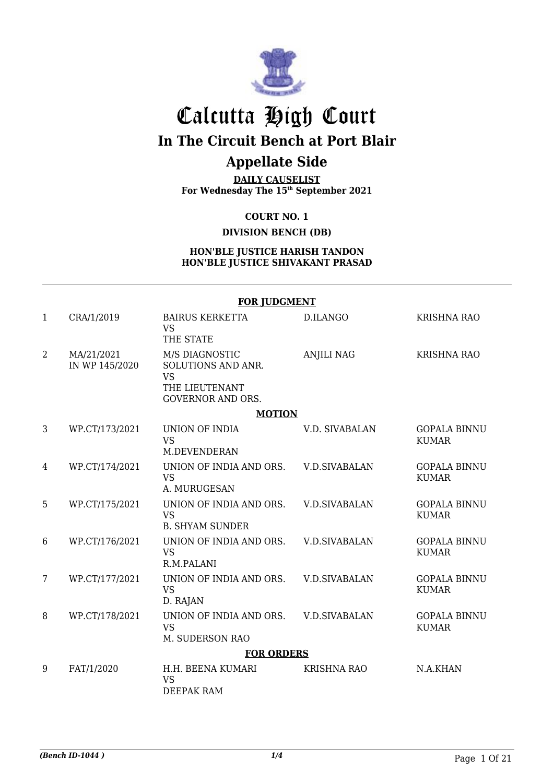

# Calcutta High Court

## **In The Circuit Bench at Port Blair**

## **Appellate Side**

**DAILY CAUSELIST For Wednesday The 15th September 2021**

**COURT NO. 1**

**DIVISION BENCH (DB)**

#### **HON'BLE JUSTICE HARISH TANDON HON'BLE JUSTICE SHIVAKANT PRASAD**

|                |                              | <b>FOR JUDGMENT</b>                                            |                      |                                     |  |
|----------------|------------------------------|----------------------------------------------------------------|----------------------|-------------------------------------|--|
| $\mathbf{1}$   | CRA/1/2019                   | <b>BAIRUS KERKETTA</b><br><b>VS</b>                            | D.ILANGO             | <b>KRISHNA RAO</b>                  |  |
|                |                              | THE STATE                                                      |                      |                                     |  |
| $\overline{2}$ | MA/21/2021<br>IN WP 145/2020 | M/S DIAGNOSTIC<br>SOLUTIONS AND ANR.<br><b>VS</b>              | <b>ANJILI NAG</b>    | <b>KRISHNA RAO</b>                  |  |
|                |                              | THE LIEUTENANT<br><b>GOVERNOR AND ORS.</b>                     |                      |                                     |  |
|                | <b>MOTION</b>                |                                                                |                      |                                     |  |
| 3              | WP.CT/173/2021               | UNION OF INDIA<br><b>VS</b><br>M.DEVENDERAN                    | V.D. SIVABALAN       | <b>GOPALA BINNU</b><br><b>KUMAR</b> |  |
| $\overline{4}$ | WP.CT/174/2021               | UNION OF INDIA AND ORS.<br><b>VS</b><br>A. MURUGESAN           | <b>V.D.SIVABALAN</b> | <b>GOPALA BINNU</b><br><b>KUMAR</b> |  |
| 5              | WP.CT/175/2021               | UNION OF INDIA AND ORS.<br><b>VS</b><br><b>B. SHYAM SUNDER</b> | <b>V.D.SIVABALAN</b> | <b>GOPALA BINNU</b><br><b>KUMAR</b> |  |
| 6              | WP.CT/176/2021               | UNION OF INDIA AND ORS.<br><b>VS</b><br>R.M.PALANI             | <b>V.D.SIVABALAN</b> | <b>GOPALA BINNU</b><br><b>KUMAR</b> |  |
| 7              | WP.CT/177/2021               | UNION OF INDIA AND ORS.<br><b>VS</b><br>D. RAJAN               | <b>V.D.SIVABALAN</b> | <b>GOPALA BINNU</b><br><b>KUMAR</b> |  |
| 8              | WP.CT/178/2021               | UNION OF INDIA AND ORS.<br><b>VS</b><br>M. SUDERSON RAO        | <b>V.D.SIVABALAN</b> | <b>GOPALA BINNU</b><br><b>KUMAR</b> |  |
|                |                              | <b>FOR ORDERS</b>                                              |                      |                                     |  |
| 9              | FAT/1/2020                   | H.H. BEENA KUMARI<br><b>VS</b><br>DEEPAK RAM                   | <b>KRISHNA RAO</b>   | N.A.KHAN                            |  |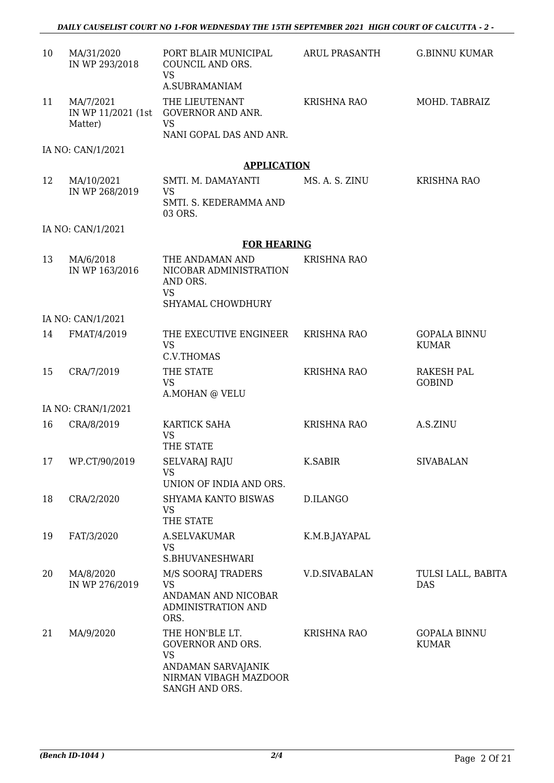| 10 | MA/31/2020<br>IN WP 293/2018               | PORT BLAIR MUNICIPAL<br>COUNCIL AND ORS.<br><b>VS</b><br>A.SUBRAMANIAM                                                    | ARUL PRASANTH        | <b>G.BINNU KUMAR</b>                |
|----|--------------------------------------------|---------------------------------------------------------------------------------------------------------------------------|----------------------|-------------------------------------|
| 11 | MA/7/2021<br>IN WP 11/2021 (1st<br>Matter) | THE LIEUTENANT<br><b>GOVERNOR AND ANR.</b><br><b>VS</b>                                                                   | <b>KRISHNA RAO</b>   | MOHD. TABRAIZ                       |
|    |                                            | NANI GOPAL DAS AND ANR.                                                                                                   |                      |                                     |
|    | IA NO: CAN/1/2021                          |                                                                                                                           |                      |                                     |
|    |                                            | <b>APPLICATION</b>                                                                                                        |                      |                                     |
| 12 | MA/10/2021<br>IN WP 268/2019               | SMTI. M. DAMAYANTI<br><b>VS</b><br>SMTI. S. KEDERAMMA AND                                                                 | MS. A. S. ZINU       | <b>KRISHNA RAO</b>                  |
|    |                                            | 03 ORS.                                                                                                                   |                      |                                     |
|    | IA NO: CAN/1/2021                          | <b>FOR HEARING</b>                                                                                                        |                      |                                     |
| 13 | MA/6/2018<br>IN WP 163/2016                | THE ANDAMAN AND<br>NICOBAR ADMINISTRATION<br>AND ORS.<br><b>VS</b><br>SHYAMAL CHOWDHURY                                   | KRISHNA RAO          |                                     |
|    | IA NO: CAN/1/2021                          |                                                                                                                           |                      |                                     |
| 14 | FMAT/4/2019                                | THE EXECUTIVE ENGINEER<br><b>VS</b><br>C.V.THOMAS                                                                         | <b>KRISHNA RAO</b>   | <b>GOPALA BINNU</b><br><b>KUMAR</b> |
| 15 | CRA/7/2019                                 | THE STATE<br><b>VS</b><br>A.MOHAN @ VELU                                                                                  | <b>KRISHNA RAO</b>   | <b>RAKESH PAL</b><br><b>GOBIND</b>  |
|    | IA NO: CRAN/1/2021                         |                                                                                                                           |                      |                                     |
| 16 | CRA/8/2019                                 | KARTICK SAHA<br><b>VS</b><br>THE STATE                                                                                    | <b>KRISHNA RAO</b>   | A.S.ZINU                            |
|    | 17 WP.CT/90/2019                           | <b>SELVARAJ RAJU</b><br><b>VS</b><br>UNION OF INDIA AND ORS.                                                              | K.SABIR              | <b>SIVABALAN</b>                    |
| 18 | CRA/2/2020                                 | SHYAMA KANTO BISWAS<br><b>VS</b><br>THE STATE                                                                             | D.ILANGO             |                                     |
| 19 | FAT/3/2020                                 | A.SELVAKUMAR<br><b>VS</b>                                                                                                 | K.M.B.JAYAPAL        |                                     |
| 20 | MA/8/2020<br>IN WP 276/2019                | S.BHUVANESHWARI<br>M/S SOORAJ TRADERS<br><b>VS</b><br>ANDAMAN AND NICOBAR<br>ADMINISTRATION AND<br>ORS.                   | <b>V.D.SIVABALAN</b> | TULSI LALL, BABITA<br><b>DAS</b>    |
| 21 | MA/9/2020                                  | THE HON'BLE LT.<br><b>GOVERNOR AND ORS.</b><br><b>VS</b><br>ANDAMAN SARVAJANIK<br>NIRMAN VIBAGH MAZDOOR<br>SANGH AND ORS. | <b>KRISHNA RAO</b>   | <b>GOPALA BINNU</b><br><b>KUMAR</b> |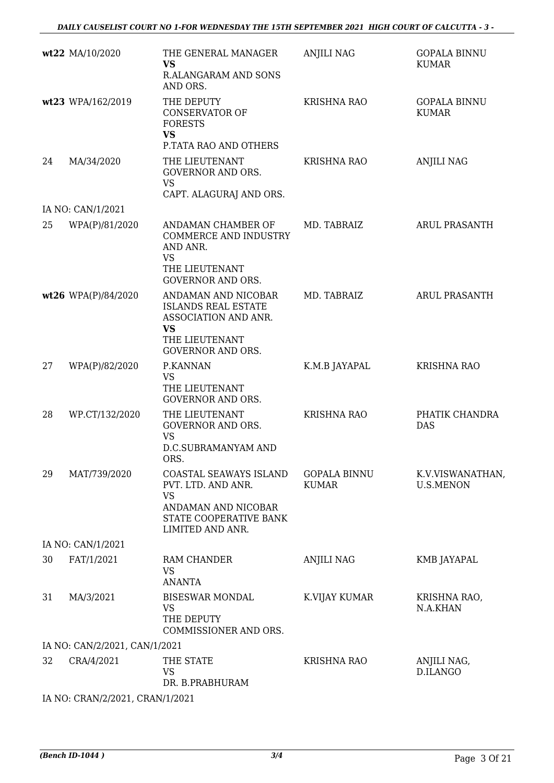|    | wt22 MA/10/2020                 | THE GENERAL MANAGER<br><b>VS</b><br><b>R.ALANGARAM AND SONS</b><br>AND ORS.                                | <b>ANJILI NAG</b>                   | <b>GOPALA BINNU</b><br><b>KUMAR</b>  |
|----|---------------------------------|------------------------------------------------------------------------------------------------------------|-------------------------------------|--------------------------------------|
|    | wt23 WPA/162/2019               | THE DEPUTY<br><b>CONSERVATOR OF</b><br><b>FORESTS</b><br><b>VS</b>                                         | <b>KRISHNA RAO</b>                  | <b>GOPALA BINNU</b><br><b>KUMAR</b>  |
|    |                                 | P.TATA RAO AND OTHERS                                                                                      |                                     |                                      |
| 24 | MA/34/2020                      | THE LIEUTENANT<br><b>GOVERNOR AND ORS.</b><br><b>VS</b>                                                    | <b>KRISHNA RAO</b>                  | <b>ANJILI NAG</b>                    |
|    | IA NO: CAN/1/2021               | CAPT. ALAGURAJ AND ORS.                                                                                    |                                     |                                      |
| 25 | WPA(P)/81/2020                  | ANDAMAN CHAMBER OF<br>COMMERCE AND INDUSTRY<br>AND ANR.<br><b>VS</b>                                       | MD. TABRAIZ                         | <b>ARUL PRASANTH</b>                 |
|    |                                 | THE LIEUTENANT<br><b>GOVERNOR AND ORS.</b>                                                                 |                                     |                                      |
|    | wt26 WPA(P)/84/2020             | ANDAMAN AND NICOBAR<br><b>ISLANDS REAL ESTATE</b><br>ASSOCIATION AND ANR.<br><b>VS</b>                     | MD. TABRAIZ                         | <b>ARUL PRASANTH</b>                 |
|    |                                 | THE LIEUTENANT<br><b>GOVERNOR AND ORS.</b>                                                                 |                                     |                                      |
| 27 | WPA(P)/82/2020                  | P.KANNAN<br><b>VS</b><br>THE LIEUTENANT<br><b>GOVERNOR AND ORS.</b>                                        | K.M.B JAYAPAL                       | <b>KRISHNA RAO</b>                   |
| 28 | WP.CT/132/2020                  | THE LIEUTENANT<br><b>GOVERNOR AND ORS.</b><br><b>VS</b><br><b>D.C.SUBRAMANYAM AND</b><br>ORS.              | <b>KRISHNA RAO</b>                  | PHATIK CHANDRA<br><b>DAS</b>         |
| 29 | MAT/739/2020                    | COASTAL SEAWAYS ISLAND<br>PVT. LTD. AND ANR.<br><b>VS</b><br>ANDAMAN AND NICOBAR<br>STATE COOPERATIVE BANK | <b>GOPALA BINNU</b><br><b>KUMAR</b> | K.V.VISWANATHAN,<br><b>U.S.MENON</b> |
|    |                                 | LIMITED AND ANR.                                                                                           |                                     |                                      |
|    | IA NO: CAN/1/2021               |                                                                                                            |                                     |                                      |
| 30 | FAT/1/2021                      | <b>RAM CHANDER</b><br><b>VS</b><br><b>ANANTA</b>                                                           | ANJILI NAG                          | KMB JAYAPAL                          |
| 31 | MA/3/2021                       | <b>BISESWAR MONDAL</b><br><b>VS</b><br>THE DEPUTY<br>COMMISSIONER AND ORS.                                 | K.VIJAY KUMAR                       | KRISHNA RAO,<br>N.A.KHAN             |
|    | IA NO: CAN/2/2021, CAN/1/2021   |                                                                                                            |                                     |                                      |
| 32 | CRA/4/2021                      | THE STATE<br><b>VS</b><br>DR. B.PRABHURAM                                                                  | <b>KRISHNA RAO</b>                  | ANJILI NAG,<br>D.ILANGO              |
|    | IA NO: CRAN/2/2021, CRAN/1/2021 |                                                                                                            |                                     |                                      |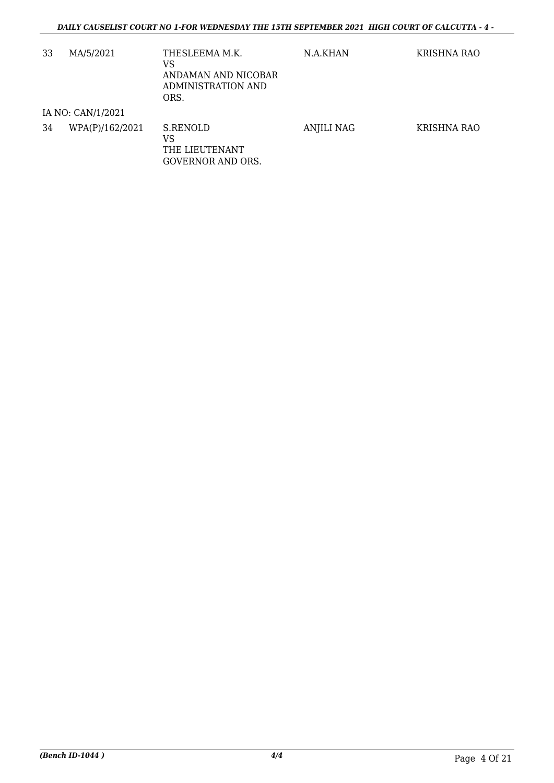| 33 | MA/5/2021         | THESLEEMA M.K.<br>VS<br>ANDAMAN AND NICOBAR<br>ADMINISTRATION AND<br>ORS. | N.A.KHAN          | KRISHNA RAO |
|----|-------------------|---------------------------------------------------------------------------|-------------------|-------------|
|    | IA NO: CAN/1/2021 |                                                                           |                   |             |
| 34 | WPA(P)/162/2021   | S.RENOLD<br>VS<br>THE LIEUTENANT<br>GOVERNOR AND ORS.                     | <b>ANJILI NAG</b> | KRISHNA RAO |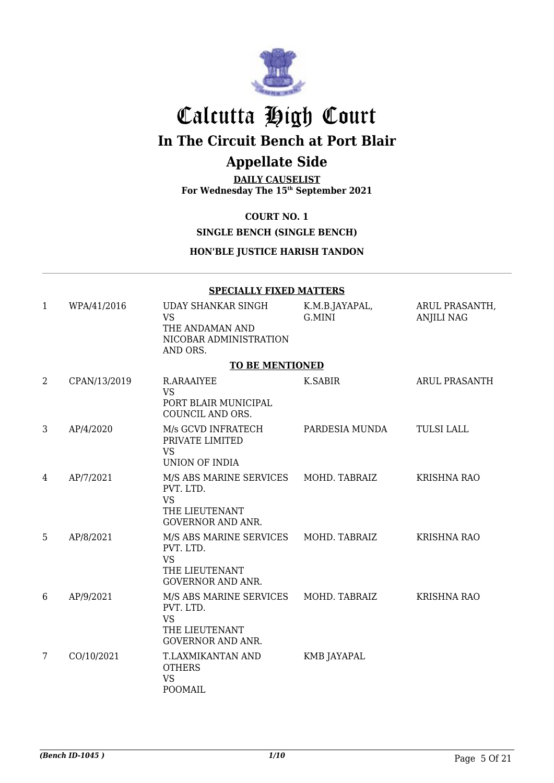

## Calcutta High Court **In The Circuit Bench at Port Blair**

## **Appellate Side**

**DAILY CAUSELIST For Wednesday The 15th September 2021**

**COURT NO. 1**

**SINGLE BENCH (SINGLE BENCH)**

**HON'BLE JUSTICE HARISH TANDON**

|              |              | <b>SPECIALLY FIXED MATTERS</b>                                                                                |                          |                                    |
|--------------|--------------|---------------------------------------------------------------------------------------------------------------|--------------------------|------------------------------------|
| $\mathbf{1}$ | WPA/41/2016  | UDAY SHANKAR SINGH<br><b>VS</b><br>THE ANDAMAN AND<br>NICOBAR ADMINISTRATION<br>AND ORS.                      | K.M.B.JAYAPAL,<br>G.MINI | ARUL PRASANTH<br><b>ANJILI NAG</b> |
|              |              | <b>TO BE MENTIONED</b>                                                                                        |                          |                                    |
| 2            | CPAN/13/2019 | R.ARAAIYEE<br><b>VS</b><br>PORT BLAIR MUNICIPAL<br>COUNCIL AND ORS.                                           | <b>K.SABIR</b>           | ARUL PRASANTH                      |
| 3            | AP/4/2020    | M/s GCVD INFRATECH<br>PRIVATE LIMITED<br><b>VS</b><br><b>UNION OF INDIA</b>                                   | PARDESIA MUNDA           | <b>TULSI LALL</b>                  |
| 4            | AP/7/2021    | M/S ABS MARINE SERVICES MOHD. TABRAIZ<br>PVT. LTD.<br><b>VS</b><br>THE LIEUTENANT<br><b>GOVERNOR AND ANR.</b> |                          | <b>KRISHNA RAO</b>                 |
| 5            | AP/8/2021    | M/S ABS MARINE SERVICES MOHD. TABRAIZ<br>PVT. LTD.<br><b>VS</b><br>THE LIEUTENANT<br><b>GOVERNOR AND ANR.</b> |                          | <b>KRISHNA RAO</b>                 |
| 6            | AP/9/2021    | M/S ABS MARINE SERVICES MOHD. TABRAIZ<br>PVT. LTD.<br><b>VS</b><br>THE LIEUTENANT<br><b>GOVERNOR AND ANR.</b> |                          | <b>KRISHNA RAO</b>                 |

7 CO/10/2021 T.LAXMIKANTAN AND **OTHERS** VS POOMAIL KMB JAYAPAL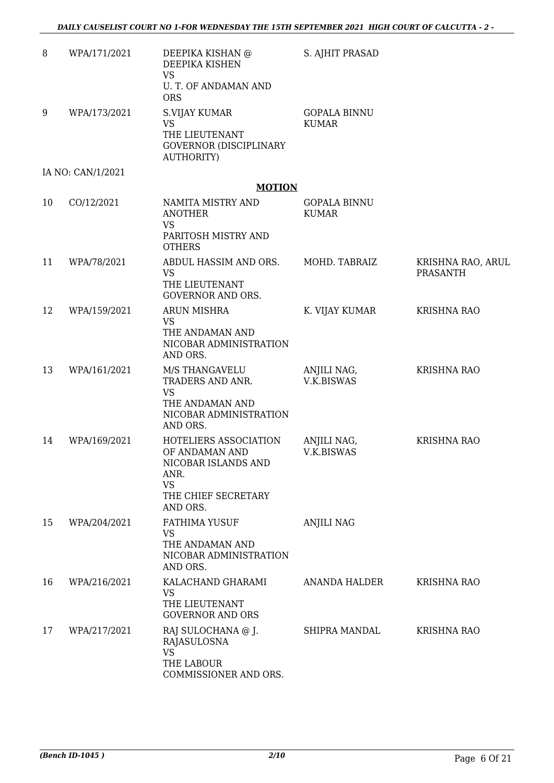| 8  | WPA/171/2021      | DEEPIKA KISHAN @<br>DEEPIKA KISHEN<br><b>VS</b><br>U. T. OF ANDAMAN AND<br><b>ORS</b>                                  | S. AJHIT PRASAD                     |                                      |
|----|-------------------|------------------------------------------------------------------------------------------------------------------------|-------------------------------------|--------------------------------------|
| 9  | WPA/173/2021      | <b>S.VIJAY KUMAR</b><br><b>VS</b><br>THE LIEUTENANT<br><b>GOVERNOR (DISCIPLINARY</b><br>AUTHORITY)                     | <b>GOPALA BINNU</b><br><b>KUMAR</b> |                                      |
|    | IA NO: CAN/1/2021 |                                                                                                                        |                                     |                                      |
|    |                   | <b>MOTION</b>                                                                                                          |                                     |                                      |
| 10 | CO/12/2021        | NAMITA MISTRY AND<br><b>ANOTHER</b><br><b>VS</b><br>PARITOSH MISTRY AND<br><b>OTHERS</b>                               | <b>GOPALA BINNU</b><br><b>KUMAR</b> |                                      |
| 11 | WPA/78/2021       | ABDUL HASSIM AND ORS.<br><b>VS</b><br>THE LIEUTENANT<br><b>GOVERNOR AND ORS.</b>                                       | MOHD. TABRAIZ                       | KRISHNA RAO, ARUL<br><b>PRASANTH</b> |
| 12 | WPA/159/2021      | <b>ARUN MISHRA</b><br>VS<br>THE ANDAMAN AND<br>NICOBAR ADMINISTRATION<br>AND ORS.                                      | K. VIJAY KUMAR                      | <b>KRISHNA RAO</b>                   |
| 13 | WPA/161/2021      | M/S THANGAVELU<br>TRADERS AND ANR.<br><b>VS</b><br>THE ANDAMAN AND<br>NICOBAR ADMINISTRATION<br>AND ORS.               | ANJILI NAG,<br>V.K.BISWAS           | <b>KRISHNA RAO</b>                   |
| 14 | WPA/169/2021      | HOTELIERS ASSOCIATION<br>OF ANDAMAN AND<br>NICOBAR ISLANDS AND<br>ANR.<br><b>VS</b><br>THE CHIEF SECRETARY<br>AND ORS. | ANJILI NAG,<br>V.K.BISWAS           | KRISHNA RAO                          |
| 15 | WPA/204/2021      | <b>FATHIMA YUSUF</b><br><b>VS</b><br>THE ANDAMAN AND<br>NICOBAR ADMINISTRATION<br>AND ORS.                             | <b>ANJILI NAG</b>                   |                                      |
| 16 | WPA/216/2021      | KALACHAND GHARAMI<br><b>VS</b><br>THE LIEUTENANT<br><b>GOVERNOR AND ORS</b>                                            | ANANDA HALDER                       | <b>KRISHNA RAO</b>                   |
| 17 | WPA/217/2021      | RAJ SULOCHANA @ J.<br>RAJASULOSNA<br><b>VS</b><br>THE LABOUR<br>COMMISSIONER AND ORS.                                  | SHIPRA MANDAL                       | <b>KRISHNA RAO</b>                   |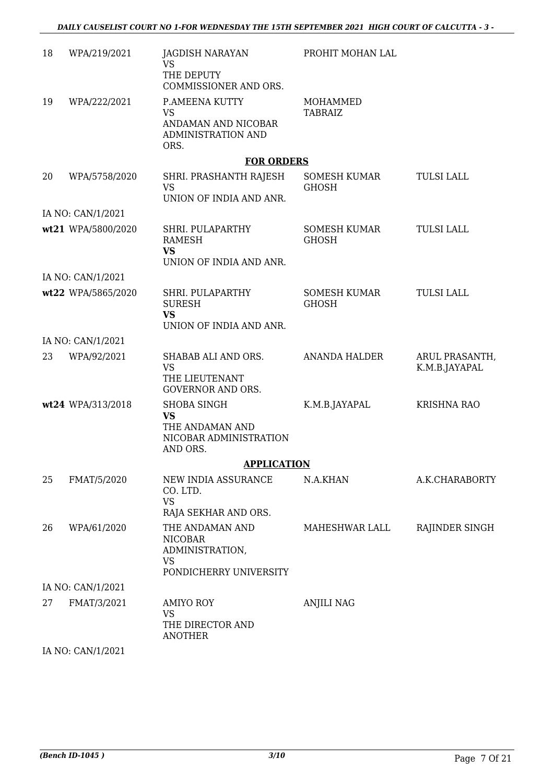| 18 | WPA/219/2021       | JAGDISH NARAYAN<br><b>VS</b><br>THE DEPUTY                                                                | PROHIT MOHAN LAL                    |                                |
|----|--------------------|-----------------------------------------------------------------------------------------------------------|-------------------------------------|--------------------------------|
| 19 | WPA/222/2021       | COMMISSIONER AND ORS.<br>P.AMEENA KUTTY<br><b>VS</b><br>ANDAMAN AND NICOBAR<br>ADMINISTRATION AND<br>ORS. | MOHAMMED<br><b>TABRAIZ</b>          |                                |
|    |                    | <b>FOR ORDERS</b>                                                                                         |                                     |                                |
| 20 | WPA/5758/2020      | SHRI. PRASHANTH RAJESH<br><b>VS</b><br>UNION OF INDIA AND ANR.                                            | SOMESH KUMAR<br><b>GHOSH</b>        | <b>TULSI LALL</b>              |
|    | IA NO: CAN/1/2021  |                                                                                                           |                                     |                                |
|    | wt21 WPA/5800/2020 | SHRI. PULAPARTHY<br><b>RAMESH</b><br><b>VS</b><br>UNION OF INDIA AND ANR.                                 | <b>SOMESH KUMAR</b><br><b>GHOSH</b> | <b>TULSI LALL</b>              |
|    | IA NO: CAN/1/2021  |                                                                                                           |                                     |                                |
|    | wt22 WPA/5865/2020 | SHRI. PULAPARTHY<br><b>SURESH</b><br><b>VS</b><br>UNION OF INDIA AND ANR.                                 | SOMESH KUMAR<br><b>GHOSH</b>        | <b>TULSI LALL</b>              |
|    | IA NO: CAN/1/2021  |                                                                                                           |                                     |                                |
| 23 | WPA/92/2021        | SHABAB ALI AND ORS.<br><b>VS</b><br>THE LIEUTENANT<br><b>GOVERNOR AND ORS.</b>                            | <b>ANANDA HALDER</b>                | ARUL PRASANTH<br>K.M.B.JAYAPAL |
|    | wt24 WPA/313/2018  | <b>SHOBA SINGH</b><br><b>VS</b><br>THE ANDAMAN AND<br>NICOBAR ADMINISTRATION<br>AND ORS.                  | K.M.B.JAYAPAL                       | <b>KRISHNA RAO</b>             |
|    |                    | <b>APPLICATION</b>                                                                                        |                                     |                                |
| 25 | FMAT/5/2020        | NEW INDIA ASSURANCE<br>CO. LTD.<br><b>VS</b><br>RAJA SEKHAR AND ORS.                                      | N.A.KHAN                            | A.K.CHARABORTY                 |
| 26 | WPA/61/2020        | THE ANDAMAN AND<br><b>NICOBAR</b><br>ADMINISTRATION,<br><b>VS</b>                                         | MAHESHWAR LALL                      | RAJINDER SINGH                 |
|    | IA NO: CAN/1/2021  | PONDICHERRY UNIVERSITY                                                                                    |                                     |                                |
|    |                    |                                                                                                           |                                     |                                |
| 27 | FMAT/3/2021        | <b>AMIYO ROY</b><br><b>VS</b><br>THE DIRECTOR AND<br><b>ANOTHER</b>                                       | <b>ANJILI NAG</b>                   |                                |
|    |                    |                                                                                                           |                                     |                                |

IA NO: CAN/1/2021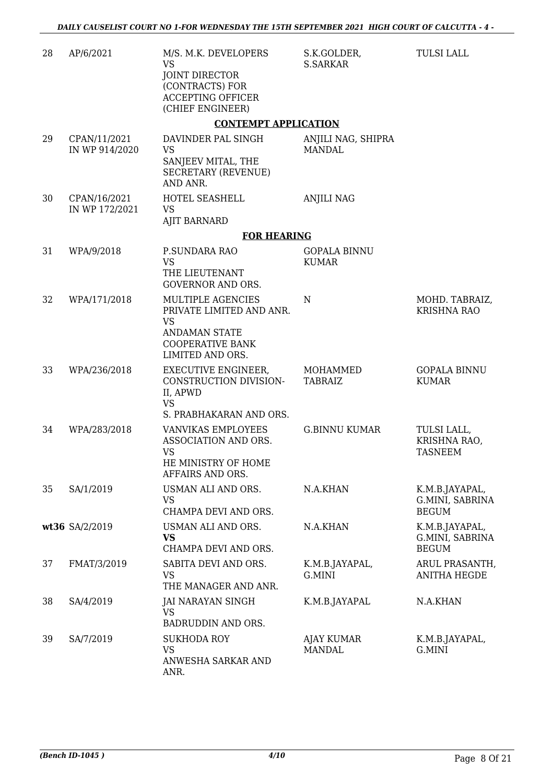| 28 | AP/6/2021                      | M/S. M.K. DEVELOPERS<br><b>VS</b><br><b>JOINT DIRECTOR</b><br>(CONTRACTS) FOR<br><b>ACCEPTING OFFICER</b><br>(CHIEF ENGINEER)     | S.K.GOLDER,<br><b>S.SARKAR</b>      | <b>TULSI LALL</b>                                 |
|----|--------------------------------|-----------------------------------------------------------------------------------------------------------------------------------|-------------------------------------|---------------------------------------------------|
|    |                                | <b>CONTEMPT APPLICATION</b>                                                                                                       |                                     |                                                   |
| 29 | CPAN/11/2021<br>IN WP 914/2020 | DAVINDER PAL SINGH<br><b>VS</b><br>SANJEEV MITAL, THE<br><b>SECRETARY (REVENUE)</b><br>AND ANR.                                   | ANJILI NAG, SHIPRA<br><b>MANDAL</b> |                                                   |
| 30 | CPAN/16/2021<br>IN WP 172/2021 | HOTEL SEASHELL<br><b>VS</b><br><b>AJIT BARNARD</b>                                                                                | <b>ANJILI NAG</b>                   |                                                   |
|    |                                | <b>FOR HEARING</b>                                                                                                                |                                     |                                                   |
| 31 | WPA/9/2018                     | P.SUNDARA RAO<br><b>VS</b><br>THE LIEUTENANT<br><b>GOVERNOR AND ORS.</b>                                                          | <b>GOPALA BINNU</b><br><b>KUMAR</b> |                                                   |
| 32 | WPA/171/2018                   | MULTIPLE AGENCIES<br>PRIVATE LIMITED AND ANR.<br><b>VS</b><br><b>ANDAMAN STATE</b><br><b>COOPERATIVE BANK</b><br>LIMITED AND ORS. | $\mathbf N$                         | MOHD. TABRAIZ,<br><b>KRISHNA RAO</b>              |
| 33 | WPA/236/2018                   | EXECUTIVE ENGINEER,<br>CONSTRUCTION DIVISION-<br>II, APWD<br><b>VS</b><br>S. PRABHAKARAN AND ORS.                                 | MOHAMMED<br><b>TABRAIZ</b>          | <b>GOPALA BINNU</b><br><b>KUMAR</b>               |
| 34 | WPA/283/2018                   | VANVIKAS EMPLOYEES<br>ASSOCIATION AND ORS.<br><b>VS</b><br>HE MINISTRY OF HOME<br>AFFAIRS AND ORS.                                | <b>G.BINNU KUMAR</b>                | TULSI LALL,<br>KRISHNA RAO,<br><b>TASNEEM</b>     |
| 35 | SA/1/2019                      | USMAN ALI AND ORS.<br><b>VS</b><br>CHAMPA DEVI AND ORS.                                                                           | N.A.KHAN                            | K.M.B.JAYAPAL,<br>G.MINI, SABRINA<br><b>BEGUM</b> |
|    | wt36 SA/2/2019                 | USMAN ALI AND ORS.<br><b>VS</b><br>CHAMPA DEVI AND ORS.                                                                           | N.A.KHAN                            | K.M.B.JAYAPAL,<br>G.MINI, SABRINA<br><b>BEGUM</b> |
| 37 | FMAT/3/2019                    | SABITA DEVI AND ORS.<br><b>VS</b><br>THE MANAGER AND ANR.                                                                         | K.M.B.JAYAPAL,<br>G.MINI            | ARUL PRASANTH,<br><b>ANITHA HEGDE</b>             |
| 38 | SA/4/2019                      | JAI NARAYAN SINGH<br><b>VS</b><br>BADRUDDIN AND ORS.                                                                              | K.M.B.JAYAPAL                       | N.A.KHAN                                          |
| 39 | SA/7/2019                      | <b>SUKHODA ROY</b><br><b>VS</b><br>ANWESHA SARKAR AND<br>ANR.                                                                     | <b>AJAY KUMAR</b><br><b>MANDAL</b>  | K.M.B.JAYAPAL,<br>G.MINI                          |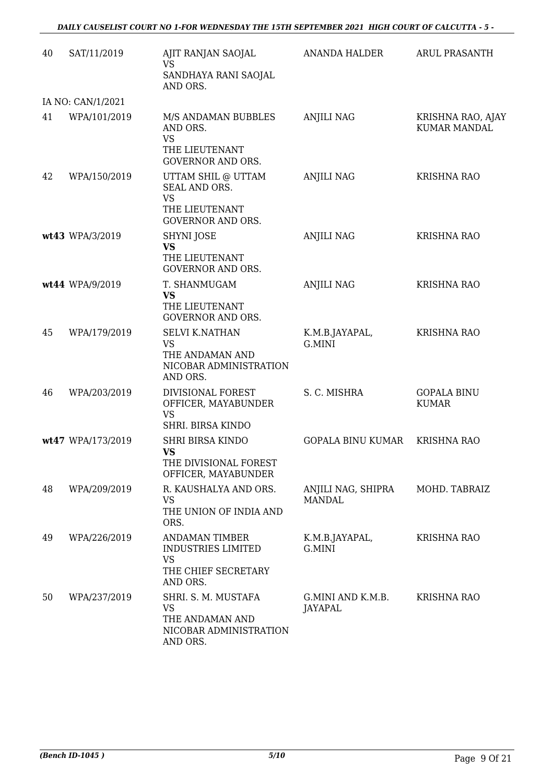| 40 | SAT/11/2019       | AJIT RANJAN SAOJAL<br>VS<br>SANDHAYA RANI SAOJAL<br>AND ORS.                                       | <b>ANANDA HALDER</b>                | ARUL PRASANTH                            |
|----|-------------------|----------------------------------------------------------------------------------------------------|-------------------------------------|------------------------------------------|
|    | IA NO: CAN/1/2021 |                                                                                                    |                                     |                                          |
| 41 | WPA/101/2019      | M/S ANDAMAN BUBBLES<br>AND ORS.<br><b>VS</b><br>THE LIEUTENANT<br><b>GOVERNOR AND ORS.</b>         | <b>ANJILI NAG</b>                   | KRISHNA RAO, AJAY<br><b>KUMAR MANDAL</b> |
| 42 | WPA/150/2019      | UTTAM SHIL @ UTTAM<br>SEAL AND ORS.<br><b>VS</b><br>THE LIEUTENANT<br><b>GOVERNOR AND ORS.</b>     | <b>ANJILI NAG</b>                   | <b>KRISHNA RAO</b>                       |
|    | wt43 WPA/3/2019   | SHYNI JOSE<br><b>VS</b><br>THE LIEUTENANT<br><b>GOVERNOR AND ORS.</b>                              | <b>ANJILI NAG</b>                   | <b>KRISHNA RAO</b>                       |
|    | wt44 WPA/9/2019   | T. SHANMUGAM<br><b>VS</b><br>THE LIEUTENANT<br><b>GOVERNOR AND ORS.</b>                            | <b>ANJILI NAG</b>                   | KRISHNA RAO                              |
| 45 | WPA/179/2019      | <b>SELVI K.NATHAN</b><br><b>VS</b><br>THE ANDAMAN AND<br>NICOBAR ADMINISTRATION<br>AND ORS.        | K.M.B.JAYAPAL,<br>G.MINI            | <b>KRISHNA RAO</b>                       |
| 46 | WPA/203/2019      | DIVISIONAL FOREST<br>OFFICER, MAYABUNDER<br><b>VS</b><br>SHRI. BIRSA KINDO                         | S. C. MISHRA                        | <b>GOPALA BINU</b><br><b>KUMAR</b>       |
|    | wt47 WPA/173/2019 | <b>SHRI BIRSA KINDO</b><br><b>VS</b><br>THE DIVISIONAL FOREST<br>OFFICER, MAYABUNDER               | <b>GOPALA BINU KUMAR</b>            | <b>KRISHNA RAO</b>                       |
| 48 | WPA/209/2019      | R. KAUSHALYA AND ORS.<br><b>VS</b><br>THE UNION OF INDIA AND<br>ORS.                               | ANJILI NAG, SHIPRA<br><b>MANDAL</b> | MOHD. TABRAIZ                            |
| 49 | WPA/226/2019      | <b>ANDAMAN TIMBER</b><br><b>INDUSTRIES LIMITED</b><br><b>VS</b><br>THE CHIEF SECRETARY<br>AND ORS. | K.M.B.JAYAPAL,<br>G.MINI            | <b>KRISHNA RAO</b>                       |
| 50 | WPA/237/2019      | SHRI. S. M. MUSTAFA<br><b>VS</b><br>THE ANDAMAN AND<br>NICOBAR ADMINISTRATION<br>AND ORS.          | G.MINI AND K.M.B.<br>JAYAPAL        | <b>KRISHNA RAO</b>                       |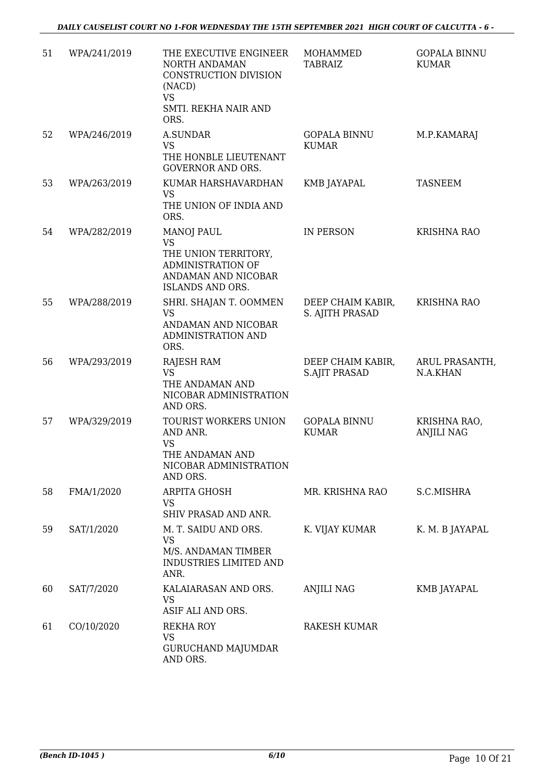| 51 | WPA/241/2019 | THE EXECUTIVE ENGINEER<br>NORTH ANDAMAN<br>CONSTRUCTION DIVISION<br>(NACD)<br><b>VS</b><br>SMTI. REKHA NAIR AND<br>ORS.       | MOHAMMED<br><b>TABRAIZ</b>                | <b>GOPALA BINNU</b><br><b>KUMAR</b> |
|----|--------------|-------------------------------------------------------------------------------------------------------------------------------|-------------------------------------------|-------------------------------------|
| 52 | WPA/246/2019 | <b>A.SUNDAR</b><br><b>VS</b><br>THE HONBLE LIEUTENANT                                                                         | <b>GOPALA BINNU</b><br><b>KUMAR</b>       | M.P.KAMARAJ                         |
| 53 | WPA/263/2019 | <b>GOVERNOR AND ORS.</b><br>KUMAR HARSHAVARDHAN<br><b>VS</b><br>THE UNION OF INDIA AND<br>ORS.                                | KMB JAYAPAL                               | <b>TASNEEM</b>                      |
| 54 | WPA/282/2019 | <b>MANOJ PAUL</b><br><b>VS</b><br>THE UNION TERRITORY,<br>ADMINISTRATION OF<br>ANDAMAN AND NICOBAR<br><b>ISLANDS AND ORS.</b> | <b>IN PERSON</b>                          | <b>KRISHNA RAO</b>                  |
| 55 | WPA/288/2019 | SHRI. SHAJAN T. OOMMEN<br><b>VS</b><br>ANDAMAN AND NICOBAR<br>ADMINISTRATION AND<br>ORS.                                      | DEEP CHAIM KABIR,<br>S. AJITH PRASAD      | KRISHNA RAO                         |
| 56 | WPA/293/2019 | <b>RAJESH RAM</b><br><b>VS</b><br>THE ANDAMAN AND<br>NICOBAR ADMINISTRATION<br>AND ORS.                                       | DEEP CHAIM KABIR,<br><b>S.AJIT PRASAD</b> | ARUL PRASANTH,<br>N.A.KHAN          |
| 57 | WPA/329/2019 | TOURIST WORKERS UNION<br>AND ANR.<br><b>VS</b><br>THE ANDAMAN AND<br>NICOBAR ADMINISTRATION<br>AND ORS.                       | <b>GOPALA BINNU</b><br><b>KUMAR</b>       | KRISHNA RAO,<br><b>ANJILI NAG</b>   |
| 58 | FMA/1/2020   | ARPITA GHOSH<br>VS<br>SHIV PRASAD AND ANR.                                                                                    | MR. KRISHNA RAO                           | S.C.MISHRA                          |
| 59 | SAT/1/2020   | M. T. SAIDU AND ORS.<br><b>VS</b><br>M/S. ANDAMAN TIMBER<br><b>INDUSTRIES LIMITED AND</b><br>ANR.                             | K. VIJAY KUMAR                            | K. M. B JAYAPAL                     |
| 60 | SAT/7/2020   | KALAIARASAN AND ORS.<br><b>VS</b><br>ASIF ALI AND ORS.                                                                        | ANJILI NAG                                | KMB JAYAPAL                         |
| 61 | CO/10/2020   | REKHA ROY<br>VS<br><b>GURUCHAND MAJUMDAR</b><br>AND ORS.                                                                      | <b>RAKESH KUMAR</b>                       |                                     |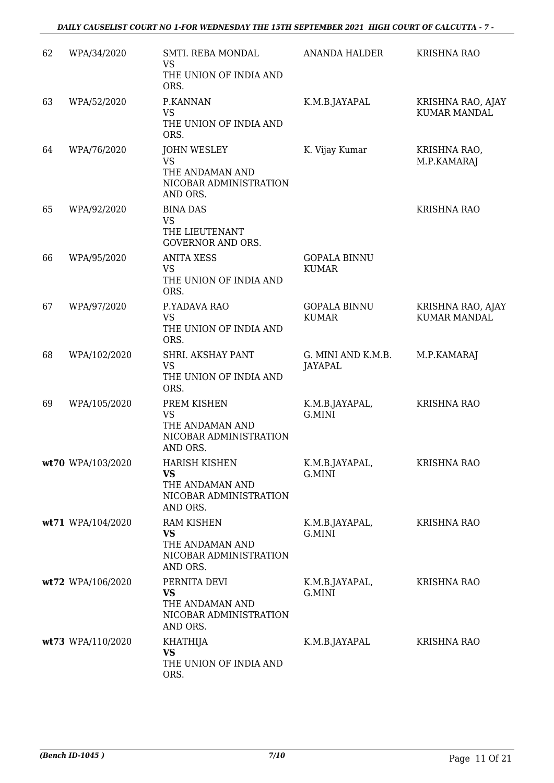| 62 | WPA/34/2020       | SMTI. REBA MONDAL<br>VS<br>THE UNION OF INDIA AND<br>ORS.                                  | <b>ANANDA HALDER</b>                 | <b>KRISHNA RAO</b>                       |
|----|-------------------|--------------------------------------------------------------------------------------------|--------------------------------------|------------------------------------------|
| 63 | WPA/52/2020       | P.KANNAN<br><b>VS</b><br>THE UNION OF INDIA AND<br>ORS.                                    | K.M.B.JAYAPAL                        | KRISHNA RAO, AJAY<br><b>KUMAR MANDAL</b> |
| 64 | WPA/76/2020       | <b>JOHN WESLEY</b><br><b>VS</b><br>THE ANDAMAN AND<br>NICOBAR ADMINISTRATION<br>AND ORS.   | K. Vijay Kumar                       | KRISHNA RAO,<br>M.P.KAMARAJ              |
| 65 | WPA/92/2020       | <b>BINA DAS</b><br><b>VS</b><br>THE LIEUTENANT<br><b>GOVERNOR AND ORS.</b>                 |                                      | KRISHNA RAO                              |
| 66 | WPA/95/2020       | <b>ANITA XESS</b><br><b>VS</b><br>THE UNION OF INDIA AND<br>ORS.                           | <b>GOPALA BINNU</b><br><b>KUMAR</b>  |                                          |
| 67 | WPA/97/2020       | P.YADAVA RAO<br><b>VS</b><br>THE UNION OF INDIA AND<br>ORS.                                | <b>GOPALA BINNU</b><br><b>KUMAR</b>  | KRISHNA RAO, AJAY<br><b>KUMAR MANDAL</b> |
| 68 | WPA/102/2020      | SHRI. AKSHAY PANT<br><b>VS</b><br>THE UNION OF INDIA AND<br>ORS.                           | G. MINI AND K.M.B.<br><b>JAYAPAL</b> | M.P.KAMARAJ                              |
| 69 | WPA/105/2020      | PREM KISHEN<br><b>VS</b><br>THE ANDAMAN AND<br>NICOBAR ADMINISTRATION<br>AND ORS.          | K.M.B.JAYAPAL,<br>G.MINI             | <b>KRISHNA RAO</b>                       |
|    | wt70 WPA/103/2020 | <b>HARISH KISHEN</b><br><b>VS</b><br>THE ANDAMAN AND<br>NICOBAR ADMINISTRATION<br>AND ORS. | K.M.B.JAYAPAL,<br>G.MINI             | <b>KRISHNA RAO</b>                       |
|    | wt71 WPA/104/2020 | <b>RAM KISHEN</b><br><b>VS</b><br>THE ANDAMAN AND<br>NICOBAR ADMINISTRATION<br>AND ORS.    | K.M.B.JAYAPAL,<br>G.MINI             | <b>KRISHNA RAO</b>                       |
|    | wt72 WPA/106/2020 | PERNITA DEVI<br><b>VS</b><br>THE ANDAMAN AND<br>NICOBAR ADMINISTRATION<br>AND ORS.         | K.M.B.JAYAPAL,<br>G.MINI             | <b>KRISHNA RAO</b>                       |
|    | wt73 WPA/110/2020 | <b>KHATHIJA</b><br><b>VS</b><br>THE UNION OF INDIA AND<br>ORS.                             | K.M.B.JAYAPAL                        | <b>KRISHNA RAO</b>                       |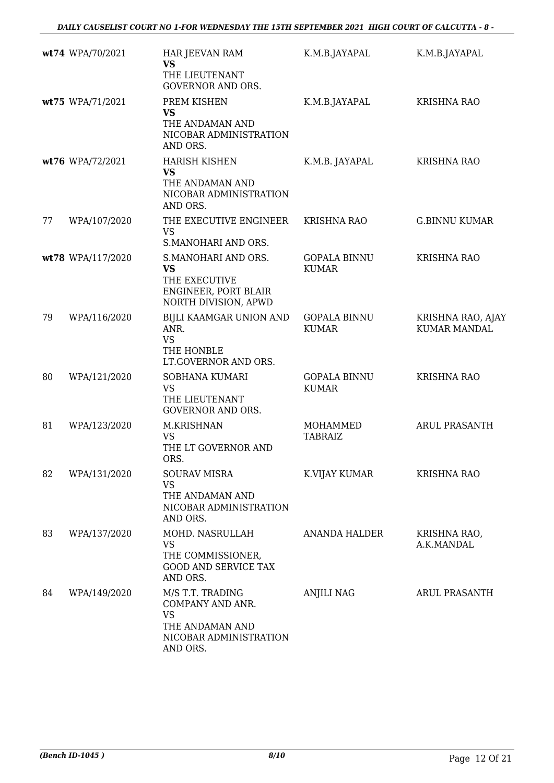|    | wt74 WPA/70/2021  | HAR JEEVAN RAM<br><b>VS</b><br>THE LIEUTENANT<br><b>GOVERNOR AND ORS.</b>                                  | K.M.B.JAYAPAL                       | K.M.B.JAYAPAL                            |
|----|-------------------|------------------------------------------------------------------------------------------------------------|-------------------------------------|------------------------------------------|
|    | wt75 WPA/71/2021  | PREM KISHEN<br><b>VS</b><br>THE ANDAMAN AND<br>NICOBAR ADMINISTRATION                                      | K.M.B.JAYAPAL                       | <b>KRISHNA RAO</b>                       |
|    | wt76 WPA/72/2021  | AND ORS.<br><b>HARISH KISHEN</b><br><b>VS</b><br>THE ANDAMAN AND<br>NICOBAR ADMINISTRATION<br>AND ORS.     | K.M.B. JAYAPAL                      | <b>KRISHNA RAO</b>                       |
| 77 | WPA/107/2020      | THE EXECUTIVE ENGINEER<br><b>VS</b><br>S.MANOHARI AND ORS.                                                 | <b>KRISHNA RAO</b>                  | <b>G.BINNU KUMAR</b>                     |
|    | wt78 WPA/117/2020 | S.MANOHARI AND ORS.<br><b>VS</b><br>THE EXECUTIVE<br>ENGINEER, PORT BLAIR<br>NORTH DIVISION, APWD          | <b>GOPALA BINNU</b><br><b>KUMAR</b> | <b>KRISHNA RAO</b>                       |
| 79 | WPA/116/2020      | BIJLI KAAMGAR UNION AND<br>ANR.<br><b>VS</b><br>THE HONBLE<br>LT.GOVERNOR AND ORS.                         | <b>GOPALA BINNU</b><br><b>KUMAR</b> | KRISHNA RAO, AJAY<br><b>KUMAR MANDAL</b> |
| 80 | WPA/121/2020      | <b>SOBHANA KUMARI</b><br><b>VS</b><br>THE LIEUTENANT<br><b>GOVERNOR AND ORS.</b>                           | <b>GOPALA BINNU</b><br><b>KUMAR</b> | <b>KRISHNA RAO</b>                       |
| 81 | WPA/123/2020      | M.KRISHNAN<br><b>VS</b><br>THE LT GOVERNOR AND<br>ORS.                                                     | MOHAMMED<br><b>TABRAIZ</b>          | <b>ARUL PRASANTH</b>                     |
| 82 | WPA/131/2020      | <b>SOURAV MISRA</b><br><b>VS</b><br>THE ANDAMAN AND<br>NICOBAR ADMINISTRATION<br>AND ORS.                  | K.VIJAY KUMAR                       | <b>KRISHNA RAO</b>                       |
| 83 | WPA/137/2020      | MOHD. NASRULLAH<br><b>VS</b><br>THE COMMISSIONER,<br><b>GOOD AND SERVICE TAX</b><br>AND ORS.               | <b>ANANDA HALDER</b>                | KRISHNA RAO,<br>A.K.MANDAL               |
| 84 | WPA/149/2020      | M/S T.T. TRADING<br>COMPANY AND ANR.<br><b>VS</b><br>THE ANDAMAN AND<br>NICOBAR ADMINISTRATION<br>AND ORS. | <b>ANJILI NAG</b>                   | <b>ARUL PRASANTH</b>                     |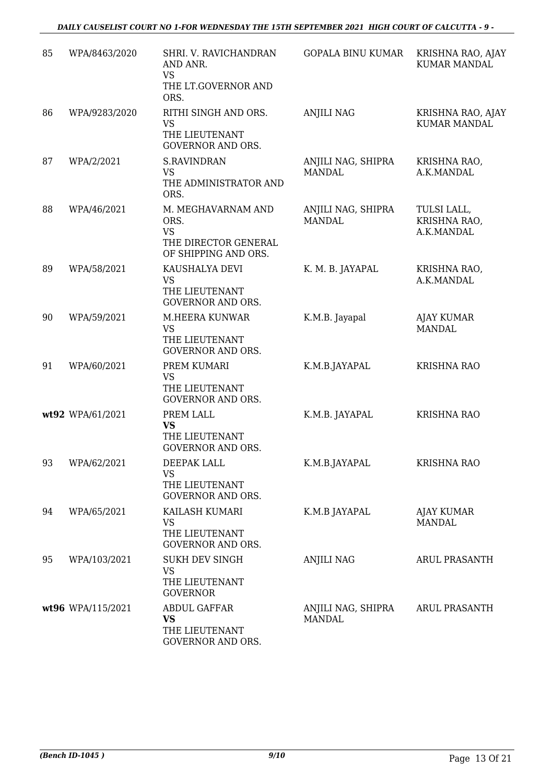| 85 | WPA/8463/2020     | SHRI. V. RAVICHANDRAN<br>AND ANR.<br><b>VS</b><br>THE LT.GOVERNOR AND<br>ORS.           | <b>GOPALA BINU KUMAR</b>            | KRISHNA RAO, AJAY<br><b>KUMAR MANDAL</b>  |
|----|-------------------|-----------------------------------------------------------------------------------------|-------------------------------------|-------------------------------------------|
| 86 | WPA/9283/2020     | RITHI SINGH AND ORS.<br><b>VS</b><br>THE LIEUTENANT<br><b>GOVERNOR AND ORS.</b>         | <b>ANJILI NAG</b>                   | KRISHNA RAO, AJAY<br><b>KUMAR MANDAL</b>  |
| 87 | WPA/2/2021        | <b>S.RAVINDRAN</b><br><b>VS</b><br>THE ADMINISTRATOR AND<br>ORS.                        | ANJILI NAG, SHIPRA<br><b>MANDAL</b> | KRISHNA RAO,<br>A.K.MANDAL                |
| 88 | WPA/46/2021       | M. MEGHAVARNAM AND<br>ORS.<br><b>VS</b><br>THE DIRECTOR GENERAL<br>OF SHIPPING AND ORS. | ANJILI NAG, SHIPRA<br><b>MANDAL</b> | TULSI LALL,<br>KRISHNA RAO,<br>A.K.MANDAL |
| 89 | WPA/58/2021       | KAUSHALYA DEVI<br><b>VS</b><br>THE LIEUTENANT<br><b>GOVERNOR AND ORS.</b>               | K. M. B. JAYAPAL                    | KRISHNA RAO,<br>A.K.MANDAL                |
| 90 | WPA/59/2021       | M.HEERA KUNWAR<br><b>VS</b><br>THE LIEUTENANT<br><b>GOVERNOR AND ORS.</b>               | K.M.B. Jayapal                      | <b>AJAY KUMAR</b><br><b>MANDAL</b>        |
| 91 | WPA/60/2021       | PREM KUMARI<br><b>VS</b><br>THE LIEUTENANT<br><b>GOVERNOR AND ORS.</b>                  | K.M.B.JAYAPAL                       | <b>KRISHNA RAO</b>                        |
|    | wt92 WPA/61/2021  | PREM LALL<br><b>VS</b><br>THE LIEUTENANT<br><b>GOVERNOR AND ORS.</b>                    | K.M.B. JAYAPAL                      | KRISHNA RAO                               |
| 93 | WPA/62/2021       | DEEPAK LALL<br><b>VS</b><br>THE LIEUTENANT<br><b>GOVERNOR AND ORS.</b>                  | K.M.B.JAYAPAL                       | <b>KRISHNA RAO</b>                        |
| 94 | WPA/65/2021       | KAILASH KUMARI<br><b>VS</b><br>THE LIEUTENANT<br><b>GOVERNOR AND ORS.</b>               | K.M.B JAYAPAL                       | AJAY KUMAR<br><b>MANDAL</b>               |
| 95 | WPA/103/2021      | <b>SUKH DEV SINGH</b><br><b>VS</b><br>THE LIEUTENANT<br><b>GOVERNOR</b>                 | ANJILI NAG                          | ARUL PRASANTH                             |
|    | wt96 WPA/115/2021 | <b>ABDUL GAFFAR</b><br>VS<br>THE LIEUTENANT<br>GOVERNOR AND ORS.                        | ANJILI NAG, SHIPRA<br>MANDAL        | <b>ARUL PRASANTH</b>                      |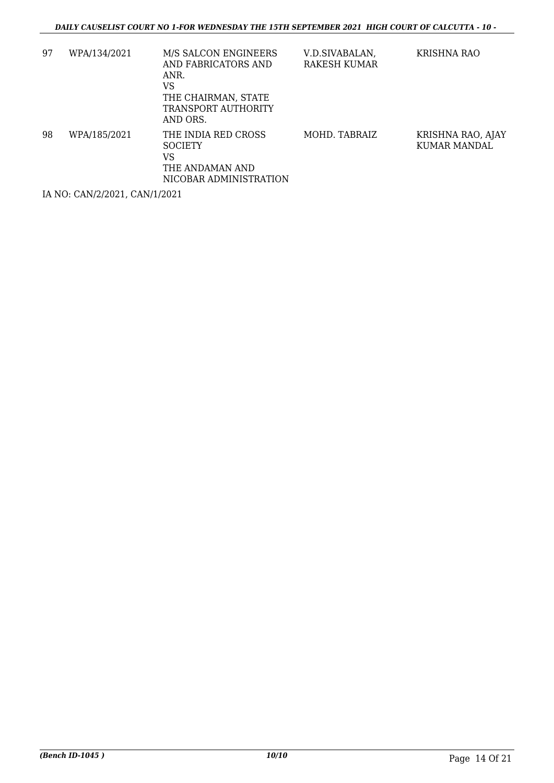| 97 | WPA/134/2021 | M/S SALCON ENGINEERS<br>AND FABRICATORS AND<br>ANR.<br>VS<br>THE CHAIRMAN, STATE<br><b>TRANSPORT AUTHORITY</b><br>AND ORS. | V.D.SIVABALAN,<br>RAKESH KUMAR | KRISHNA RAO                       |
|----|--------------|----------------------------------------------------------------------------------------------------------------------------|--------------------------------|-----------------------------------|
| 98 | WPA/185/2021 | THE INDIA RED CROSS<br><b>SOCIETY</b><br>VS<br>THE ANDAMAN AND<br>NICOBAR ADMINISTRATION                                   | MOHD. TABRAIZ                  | KRISHNA RAO, AJAY<br>KUMAR MANDAL |

IA NO: CAN/2/2021, CAN/1/2021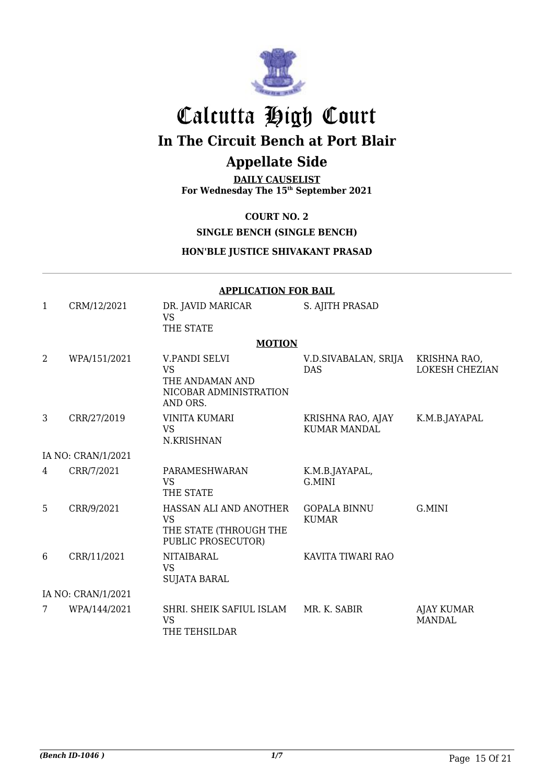

# Calcutta High Court **In The Circuit Bench at Port Blair**

## **Appellate Side**

**DAILY CAUSELIST For Wednesday The 15th September 2021**

**COURT NO. 2**

#### **SINGLE BENCH (SINGLE BENCH)**

#### **HON'BLE JUSTICE SHIVAKANT PRASAD**

|              | <b>APPLICATION FOR BAIL</b> |                                                                                     |                                          |                                       |  |  |
|--------------|-----------------------------|-------------------------------------------------------------------------------------|------------------------------------------|---------------------------------------|--|--|
| $\mathbf{1}$ | CRM/12/2021                 | DR. JAVID MARICAR<br><b>VS</b><br>THE STATE                                         | S. AJITH PRASAD                          |                                       |  |  |
|              |                             | <b>MOTION</b>                                                                       |                                          |                                       |  |  |
| 2            | WPA/151/2021                | V.PANDI SELVI<br><b>VS</b><br>THE ANDAMAN AND<br>NICOBAR ADMINISTRATION<br>AND ORS. | V.D.SIVABALAN, SRIJA<br><b>DAS</b>       | KRISHNA RAO,<br><b>LOKESH CHEZIAN</b> |  |  |
| 3            | CRR/27/2019                 | <b>VINITA KUMARI</b><br><b>VS</b><br>N.KRISHNAN                                     | KRISHNA RAO, AJAY<br><b>KUMAR MANDAL</b> | K.M.B.JAYAPAL                         |  |  |
|              | IA NO: CRAN/1/2021          |                                                                                     |                                          |                                       |  |  |
| 4            | CRR/7/2021                  | PARAMESHWARAN<br><b>VS</b><br>THE STATE                                             | K.M.B.JAYAPAL,<br>G.MINI                 |                                       |  |  |
| 5            | CRR/9/2021                  | HASSAN ALI AND ANOTHER<br><b>VS</b><br>THE STATE (THROUGH THE<br>PUBLIC PROSECUTOR) | <b>GOPALA BINNU</b><br><b>KUMAR</b>      | G.MINI                                |  |  |
| 6            | CRR/11/2021                 | <b>NITAIBARAL</b><br><b>VS</b><br><b>SUJATA BARAL</b>                               | KAVITA TIWARI RAO                        |                                       |  |  |
|              | IA NO: CRAN/1/2021          |                                                                                     |                                          |                                       |  |  |
| 7            | WPA/144/2021                | SHRI. SHEIK SAFIUL ISLAM<br><b>VS</b><br>THE TEHSILDAR                              | MR. K. SABIR                             | <b>AJAY KUMAR</b><br><b>MANDAL</b>    |  |  |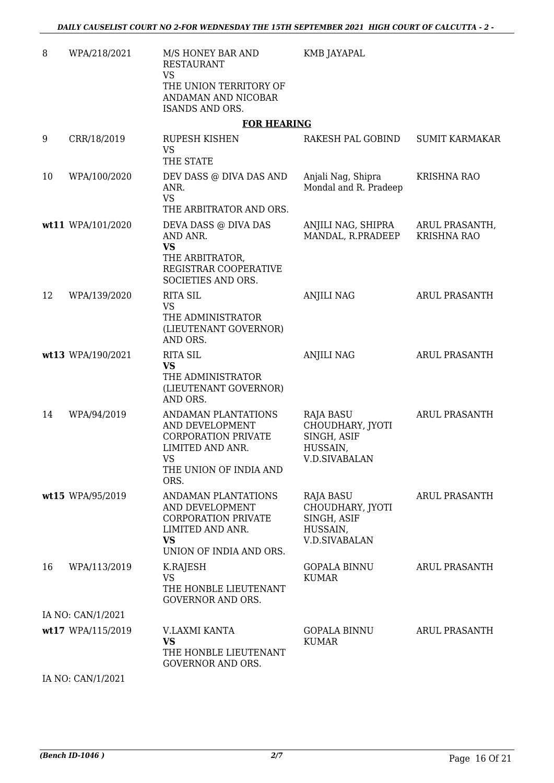| 8  | WPA/218/2021      | M/S HONEY BAR AND<br><b>RESTAURANT</b><br><b>VS</b><br>THE UNION TERRITORY OF                                                           | KMB JAYAPAL                                                                      |                                      |
|----|-------------------|-----------------------------------------------------------------------------------------------------------------------------------------|----------------------------------------------------------------------------------|--------------------------------------|
|    |                   | ANDAMAN AND NICOBAR<br><b>ISANDS AND ORS.</b>                                                                                           |                                                                                  |                                      |
|    |                   | <b>FOR HEARING</b>                                                                                                                      |                                                                                  |                                      |
| 9  | CRR/18/2019       | <b>RUPESH KISHEN</b><br><b>VS</b><br>THE STATE                                                                                          | RAKESH PAL GOBIND                                                                | <b>SUMIT KARMAKAR</b>                |
| 10 | WPA/100/2020      | DEV DASS @ DIVA DAS AND<br>ANR.<br><b>VS</b><br>THE ARBITRATOR AND ORS.                                                                 | Anjali Nag, Shipra<br>Mondal and R. Pradeep                                      | <b>KRISHNA RAO</b>                   |
|    | wt11 WPA/101/2020 | DEVA DASS @ DIVA DAS<br>AND ANR.<br><b>VS</b><br>THE ARBITRATOR,<br>REGISTRAR COOPERATIVE<br>SOCIETIES AND ORS.                         | ANJILI NAG, SHIPRA<br>MANDAL, R.PRADEEP                                          | ARUL PRASANTH,<br><b>KRISHNA RAO</b> |
| 12 | WPA/139/2020      | <b>RITA SIL</b><br><b>VS</b><br>THE ADMINISTRATOR<br>(LIEUTENANT GOVERNOR)<br>AND ORS.                                                  | <b>ANJILI NAG</b>                                                                | <b>ARUL PRASANTH</b>                 |
|    | wt13 WPA/190/2021 | <b>RITA SIL</b><br><b>VS</b><br>THE ADMINISTRATOR<br>(LIEUTENANT GOVERNOR)<br>AND ORS.                                                  | <b>ANJILI NAG</b>                                                                | <b>ARUL PRASANTH</b>                 |
| 14 | WPA/94/2019       | ANDAMAN PLANTATIONS<br>AND DEVELOPMENT<br><b>CORPORATION PRIVATE</b><br>LIMITED AND ANR.<br><b>VS</b><br>THE UNION OF INDIA AND<br>ORS. | RAJA BASU<br>CHOUDHARY, JYOTI<br>SINGH, ASIF<br>HUSSAIN,<br><b>V.D.SIVABALAN</b> | <b>ARUL PRASANTH</b>                 |
|    | wt15 WPA/95/2019  | ANDAMAN PLANTATIONS<br>AND DEVELOPMENT<br><b>CORPORATION PRIVATE</b><br>LIMITED AND ANR.<br><b>VS</b><br>UNION OF INDIA AND ORS.        | RAJA BASU<br>CHOUDHARY, JYOTI<br>SINGH, ASIF<br>HUSSAIN,<br><b>V.D.SIVABALAN</b> | <b>ARUL PRASANTH</b>                 |
| 16 | WPA/113/2019      | K.RAJESH<br><b>VS</b><br>THE HONBLE LIEUTENANT<br><b>GOVERNOR AND ORS.</b>                                                              | <b>GOPALA BINNU</b><br><b>KUMAR</b>                                              | ARUL PRASANTH                        |
|    | IA NO: CAN/1/2021 |                                                                                                                                         |                                                                                  |                                      |
|    | wt17 WPA/115/2019 | V.LAXMI KANTA<br><b>VS</b><br>THE HONBLE LIEUTENANT<br><b>GOVERNOR AND ORS.</b>                                                         | <b>GOPALA BINNU</b><br><b>KUMAR</b>                                              | ARUL PRASANTH                        |
|    | IA NO: CAN/1/2021 |                                                                                                                                         |                                                                                  |                                      |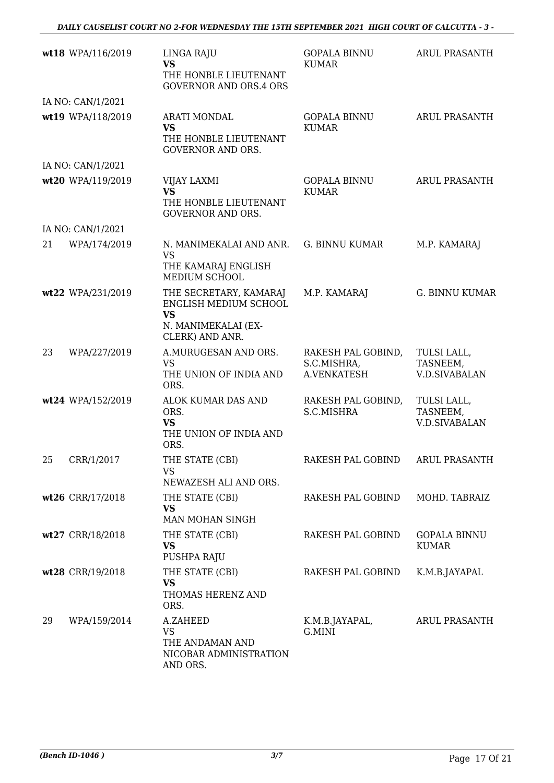|    | wt18 WPA/116/2019 | LINGA RAJU<br><b>VS</b><br>THE HONBLE LIEUTENANT<br><b>GOVERNOR AND ORS.4 ORS</b>     | <b>GOPALA BINNU</b><br><b>KUMAR</b>              | <b>ARUL PRASANTH</b>                            |
|----|-------------------|---------------------------------------------------------------------------------------|--------------------------------------------------|-------------------------------------------------|
|    | IA NO: CAN/1/2021 |                                                                                       |                                                  |                                                 |
|    | wt19 WPA/118/2019 | <b>ARATI MONDAL</b><br><b>VS</b><br>THE HONBLE LIEUTENANT<br><b>GOVERNOR AND ORS.</b> | <b>GOPALA BINNU</b><br><b>KUMAR</b>              | <b>ARUL PRASANTH</b>                            |
|    | IA NO: CAN/1/2021 |                                                                                       |                                                  |                                                 |
|    | wt20 WPA/119/2019 | VIJAY LAXMI<br><b>VS</b><br>THE HONBLE LIEUTENANT<br><b>GOVERNOR AND ORS.</b>         | <b>GOPALA BINNU</b><br><b>KUMAR</b>              | <b>ARUL PRASANTH</b>                            |
|    | IA NO: CAN/1/2021 |                                                                                       |                                                  |                                                 |
| 21 | WPA/174/2019      | N. MANIMEKALAI AND ANR.<br><b>VS</b><br>THE KAMARAJ ENGLISH<br>MEDIUM SCHOOL          | <b>G. BINNU KUMAR</b>                            | M.P. KAMARAJ                                    |
|    | wt22 WPA/231/2019 | THE SECRETARY, KAMARAJ<br>ENGLISH MEDIUM SCHOOL<br><b>VS</b><br>N. MANIMEKALAI (EX-   | M.P. KAMARAJ                                     | <b>G. BINNU KUMAR</b>                           |
|    |                   | CLERK) AND ANR.                                                                       |                                                  |                                                 |
| 23 | WPA/227/2019      | A.MURUGESAN AND ORS.<br><b>VS</b><br>THE UNION OF INDIA AND<br>ORS.                   | RAKESH PAL GOBIND,<br>S.C.MISHRA,<br>A.VENKATESH | TULSI LALL,<br>TASNEEM,<br><b>V.D.SIVABALAN</b> |
|    | wt24 WPA/152/2019 | ALOK KUMAR DAS AND<br>ORS.<br><b>VS</b><br>THE UNION OF INDIA AND<br>ORS.             | RAKESH PAL GOBIND,<br>S.C.MISHRA                 | TULSI LALL,<br>TASNEEM,<br><b>V.D.SIVABALAN</b> |
| 25 | CRR/1/2017        | THE STATE (CBI)<br>VS<br>NEWAZESH ALI AND ORS.                                        | RAKESH PAL GOBIND                                | ARUL PRASANTH                                   |
|    | wt26 CRR/17/2018  | THE STATE (CBI)<br><b>VS</b><br>MAN MOHAN SINGH                                       | RAKESH PAL GOBIND                                | MOHD. TABRAIZ                                   |
|    | wt27 CRR/18/2018  | THE STATE (CBI)<br>VS<br>PUSHPA RAJU                                                  | RAKESH PAL GOBIND                                | <b>GOPALA BINNU</b><br><b>KUMAR</b>             |
|    | wt28 CRR/19/2018  | THE STATE (CBI)<br><b>VS</b><br>THOMAS HERENZ AND<br>ORS.                             | RAKESH PAL GOBIND                                | K.M.B.JAYAPAL                                   |
| 29 | WPA/159/2014      | A.ZAHEED<br><b>VS</b><br>THE ANDAMAN AND<br>NICOBAR ADMINISTRATION<br>AND ORS.        | K.M.B.JAYAPAL,<br>G.MINI                         | ARUL PRASANTH                                   |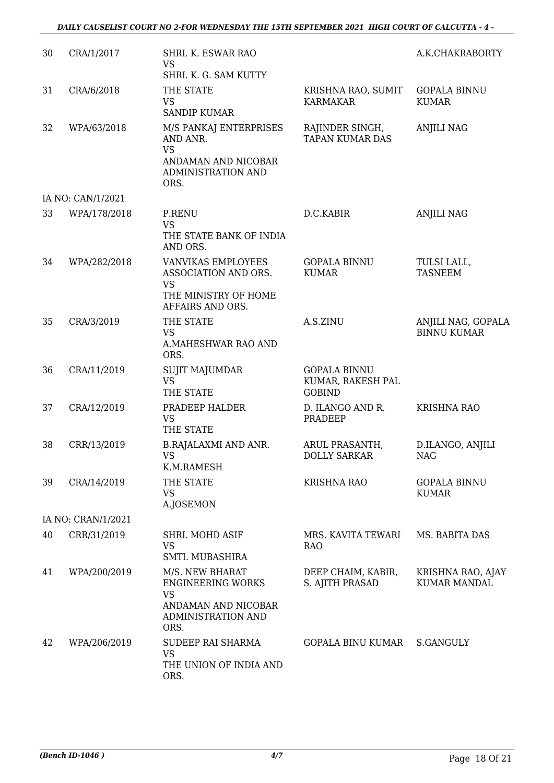| 30 | CRA/1/2017         | SHRI. K. ESWAR RAO<br><b>VS</b><br>SHRI. K. G. SAM KUTTY                                                      |                                                           | A.K.CHAKRABORTY                          |
|----|--------------------|---------------------------------------------------------------------------------------------------------------|-----------------------------------------------------------|------------------------------------------|
| 31 | CRA/6/2018         | THE STATE<br><b>VS</b><br><b>SANDIP KUMAR</b>                                                                 | KRISHNA RAO, SUMIT<br><b>KARMAKAR</b>                     | <b>GOPALA BINNU</b><br><b>KUMAR</b>      |
| 32 | WPA/63/2018        | M/S PANKAJ ENTERPRISES<br>AND ANR.<br><b>VS</b><br>ANDAMAN AND NICOBAR<br>ADMINISTRATION AND<br>ORS.          | RAJINDER SINGH,<br><b>TAPAN KUMAR DAS</b>                 | ANJILI NAG                               |
|    | IA NO: CAN/1/2021  |                                                                                                               |                                                           |                                          |
| 33 | WPA/178/2018       | P.RENU<br><b>VS</b><br>THE STATE BANK OF INDIA<br>AND ORS.                                                    | D.C.KABIR                                                 | <b>ANJILI NAG</b>                        |
| 34 | WPA/282/2018       | <b>VANVIKAS EMPLOYEES</b><br>ASSOCIATION AND ORS.<br><b>VS</b><br>THE MINISTRY OF HOME<br>AFFAIRS AND ORS.    | <b>GOPALA BINNU</b><br><b>KUMAR</b>                       | TULSI LALL,<br><b>TASNEEM</b>            |
| 35 | CRA/3/2019         | THE STATE<br><b>VS</b><br>A.MAHESHWAR RAO AND<br>ORS.                                                         | A.S.ZINU                                                  | ANJILI NAG, GOPALA<br><b>BINNU KUMAR</b> |
| 36 | CRA/11/2019        | <b>SUJIT MAJUMDAR</b><br><b>VS</b><br>THE STATE                                                               | <b>GOPALA BINNU</b><br>KUMAR, RAKESH PAL<br><b>GOBIND</b> |                                          |
| 37 | CRA/12/2019        | PRADEEP HALDER<br><b>VS</b><br>THE STATE                                                                      | D. ILANGO AND R.<br>PRADEEP                               | <b>KRISHNA RAO</b>                       |
| 38 | CRR/13/2019        | <b>B.RAJALAXMI AND ANR.</b><br>VS –<br>K.M.RAMESH                                                             | ARUL PRASANTH,<br><b>DOLLY SARKAR</b>                     | D.ILANGO, ANJILI<br>NAG                  |
| 39 | CRA/14/2019        | THE STATE<br><b>VS</b><br>A.JOSEMON                                                                           | <b>KRISHNA RAO</b>                                        | <b>GOPALA BINNU</b><br><b>KUMAR</b>      |
|    | IA NO: CRAN/1/2021 |                                                                                                               |                                                           |                                          |
| 40 | CRR/31/2019        | SHRI. MOHD ASIF<br><b>VS</b><br>SMTI. MUBASHIRA                                                               | MRS. KAVITA TEWARI<br><b>RAO</b>                          | MS. BABITA DAS                           |
| 41 | WPA/200/2019       | M/S. NEW BHARAT<br><b>ENGINEERING WORKS</b><br><b>VS</b><br>ANDAMAN AND NICOBAR<br>ADMINISTRATION AND<br>ORS. | DEEP CHAIM, KABIR,<br>S. AJITH PRASAD                     | KRISHNA RAO, AJAY<br><b>KUMAR MANDAL</b> |
| 42 | WPA/206/2019       | SUDEEP RAI SHARMA<br><b>VS</b><br>THE UNION OF INDIA AND<br>ORS.                                              | GOPALA BINU KUMAR                                         | S.GANGULY                                |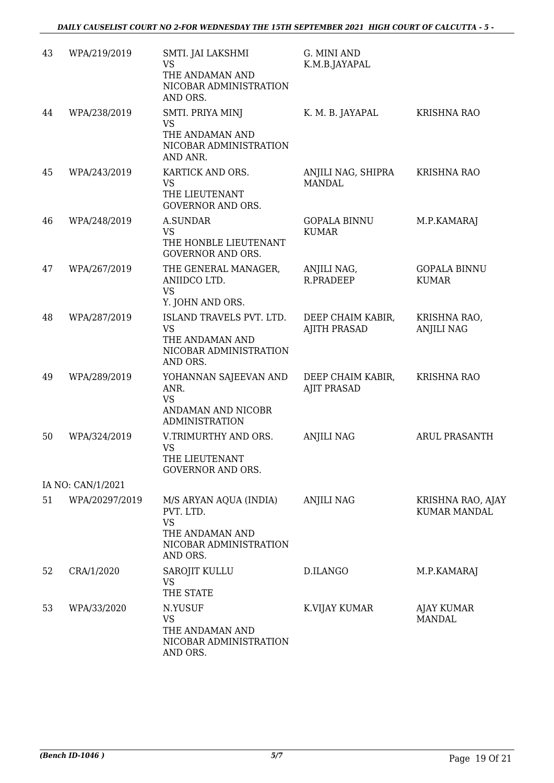| 43 | WPA/219/2019      | SMTI. JAI LAKSHMI<br><b>VS</b><br>THE ANDAMAN AND<br>NICOBAR ADMINISTRATION<br>AND ORS.                   | G. MINI AND<br>K.M.B.JAYAPAL             |                                          |
|----|-------------------|-----------------------------------------------------------------------------------------------------------|------------------------------------------|------------------------------------------|
| 44 | WPA/238/2019      | SMTI. PRIYA MINJ<br><b>VS</b><br>THE ANDAMAN AND<br>NICOBAR ADMINISTRATION<br>AND ANR.                    | K. M. B. JAYAPAL                         | <b>KRISHNA RAO</b>                       |
| 45 | WPA/243/2019      | KARTICK AND ORS.<br><b>VS</b><br>THE LIEUTENANT<br><b>GOVERNOR AND ORS.</b>                               | ANJILI NAG, SHIPRA<br><b>MANDAL</b>      | <b>KRISHNA RAO</b>                       |
| 46 | WPA/248/2019      | A.SUNDAR<br>VS<br>THE HONBLE LIEUTENANT<br><b>GOVERNOR AND ORS.</b>                                       | <b>GOPALA BINNU</b><br><b>KUMAR</b>      | M.P.KAMARAJ                              |
| 47 | WPA/267/2019      | THE GENERAL MANAGER,<br>ANIIDCO LTD.<br><b>VS</b><br>Y. JOHN AND ORS.                                     | ANJILI NAG,<br><b>R.PRADEEP</b>          | <b>GOPALA BINNU</b><br><b>KUMAR</b>      |
| 48 | WPA/287/2019      | ISLAND TRAVELS PVT. LTD.<br><b>VS</b><br>THE ANDAMAN AND<br>NICOBAR ADMINISTRATION<br>AND ORS.            | DEEP CHAIM KABIR,<br><b>AJITH PRASAD</b> | KRISHNA RAO,<br><b>ANJILI NAG</b>        |
| 49 | WPA/289/2019      | YOHANNAN SAJEEVAN AND<br>ANR.<br><b>VS</b><br>ANDAMAN AND NICOBR<br><b>ADMINISTRATION</b>                 | DEEP CHAIM KABIR,<br><b>AJIT PRASAD</b>  | <b>KRISHNA RAO</b>                       |
| 50 | WPA/324/2019      | V.TRIMURTHY AND ORS.<br><b>VS</b><br>THE LIEUTENANT<br><b>GOVERNOR AND ORS.</b>                           | <b>ANJILI NAG</b>                        | <b>ARUL PRASANTH</b>                     |
|    | IA NO: CAN/1/2021 |                                                                                                           |                                          |                                          |
| 51 | WPA/20297/2019    | M/S ARYAN AQUA (INDIA)<br>PVT. LTD.<br><b>VS</b><br>THE ANDAMAN AND<br>NICOBAR ADMINISTRATION<br>AND ORS. | <b>ANJILI NAG</b>                        | KRISHNA RAO, AJAY<br><b>KUMAR MANDAL</b> |
| 52 | CRA/1/2020        | <b>SAROJIT KULLU</b><br><b>VS</b><br>THE STATE                                                            | D.ILANGO                                 | M.P.KAMARAJ                              |
| 53 | WPA/33/2020       | N.YUSUF<br>VS<br>THE ANDAMAN AND<br>NICOBAR ADMINISTRATION<br>AND ORS.                                    | K.VIJAY KUMAR                            | AJAY KUMAR<br>MANDAL                     |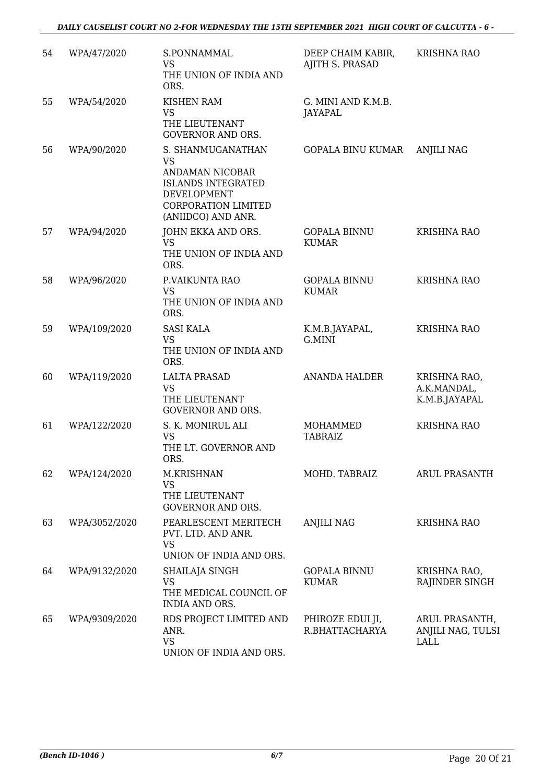| 54 | WPA/47/2020   | S.PONNAMMAL<br><b>VS</b><br>THE UNION OF INDIA AND<br>ORS.                                                                                               | DEEP CHAIM KABIR,<br>AJITH S. PRASAD | <b>KRISHNA RAO</b>                           |
|----|---------------|----------------------------------------------------------------------------------------------------------------------------------------------------------|--------------------------------------|----------------------------------------------|
| 55 | WPA/54/2020   | <b>KISHEN RAM</b><br><b>VS</b><br>THE LIEUTENANT<br><b>GOVERNOR AND ORS.</b>                                                                             | G. MINI AND K.M.B.<br>JAYAPAL        |                                              |
| 56 | WPA/90/2020   | S. SHANMUGANATHAN<br><b>VS</b><br>ANDAMAN NICOBAR<br><b>ISLANDS INTEGRATED</b><br><b>DEVELOPMENT</b><br><b>CORPORATION LIMITED</b><br>(ANIIDCO) AND ANR. | <b>GOPALA BINU KUMAR</b>             | <b>ANJILI NAG</b>                            |
| 57 | WPA/94/2020   | JOHN EKKA AND ORS.<br><b>VS</b><br>THE UNION OF INDIA AND<br>ORS.                                                                                        | <b>GOPALA BINNU</b><br><b>KUMAR</b>  | <b>KRISHNA RAO</b>                           |
| 58 | WPA/96/2020   | P.VAIKUNTA RAO<br><b>VS</b><br>THE UNION OF INDIA AND<br>ORS.                                                                                            | <b>GOPALA BINNU</b><br><b>KUMAR</b>  | <b>KRISHNA RAO</b>                           |
| 59 | WPA/109/2020  | <b>SASI KALA</b><br><b>VS</b><br>THE UNION OF INDIA AND<br>ORS.                                                                                          | K.M.B.JAYAPAL,<br>G.MINI             | <b>KRISHNA RAO</b>                           |
| 60 | WPA/119/2020  | <b>LALTA PRASAD</b><br><b>VS</b><br>THE LIEUTENANT<br><b>GOVERNOR AND ORS.</b>                                                                           | <b>ANANDA HALDER</b>                 | KRISHNA RAO,<br>A.K.MANDAL,<br>K.M.B.JAYAPAL |
| 61 | WPA/122/2020  | S. K. MONIRUL ALI<br><b>VS</b><br>THE LT. GOVERNOR AND<br>ORS.                                                                                           | MOHAMMED<br><b>TABRAIZ</b>           | <b>KRISHNA RAO</b>                           |
| 62 | WPA/124/2020  | M.KRISHNAN<br><b>VS</b><br>THE LIEUTENANT<br><b>GOVERNOR AND ORS.</b>                                                                                    | MOHD. TABRAIZ                        | <b>ARUL PRASANTH</b>                         |
| 63 | WPA/3052/2020 | PEARLESCENT MERITECH<br>PVT. LTD. AND ANR.<br><b>VS</b><br>UNION OF INDIA AND ORS.                                                                       | ANJILI NAG                           | <b>KRISHNA RAO</b>                           |
| 64 | WPA/9132/2020 | SHAILAJA SINGH<br><b>VS</b><br>THE MEDICAL COUNCIL OF<br>INDIA AND ORS.                                                                                  | <b>GOPALA BINNU</b><br><b>KUMAR</b>  | KRISHNA RAO,<br>RAJINDER SINGH               |
| 65 | WPA/9309/2020 | RDS PROJECT LIMITED AND<br>ANR.<br><b>VS</b><br>UNION OF INDIA AND ORS.                                                                                  | PHIROZE EDULJI,<br>R.BHATTACHARYA    | ARUL PRASANTH,<br>ANJILI NAG, TULSI<br>LALL  |